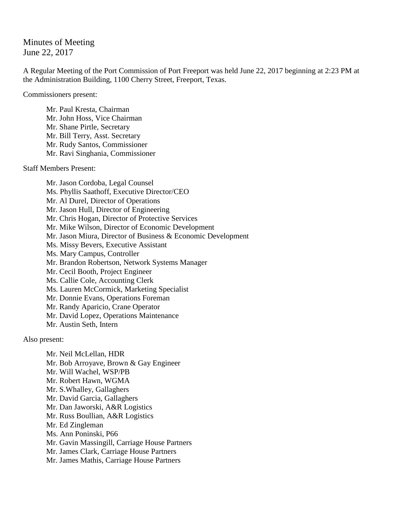## Minutes of Meeting June 22, 2017

A Regular Meeting of the Port Commission of Port Freeport was held June 22, 2017 beginning at 2:23 PM at the Administration Building, 1100 Cherry Street, Freeport, Texas.

Commissioners present:

Mr. Paul Kresta, Chairman Mr. John Hoss, Vice Chairman Mr. Shane Pirtle, Secretary Mr. Bill Terry, Asst. Secretary Mr. Rudy Santos, Commissioner Mr. Ravi Singhania, Commissioner

Staff Members Present:

Mr. Jason Cordoba, Legal Counsel Ms. Phyllis Saathoff, Executive Director/CEO Mr. Al Durel, Director of Operations Mr. Jason Hull, Director of Engineering Mr. Chris Hogan, Director of Protective Services Mr. Mike Wilson, Director of Economic Development Mr. Jason Miura, Director of Business & Economic Development Ms. Missy Bevers, Executive Assistant Ms. Mary Campus, Controller Mr. Brandon Robertson, Network Systems Manager Mr. Cecil Booth, Project Engineer Ms. Callie Cole, Accounting Clerk Ms. Lauren McCormick, Marketing Specialist Mr. Donnie Evans, Operations Foreman Mr. Randy Aparicio, Crane Operator Mr. David Lopez, Operations Maintenance Mr. Austin Seth, Intern

Also present:

Mr. Neil McLellan, HDR Mr. Bob Arroyave, Brown & Gay Engineer Mr. Will Wachel, WSP/PB Mr. Robert Hawn, WGMA Mr. S.Whalley, Gallaghers Mr. David Garcia, Gallaghers Mr. Dan Jaworski, A&R Logistics Mr. Russ Boullian, A&R Logistics Mr. Ed Zingleman Ms. Ann Poninski, P66 Mr. Gavin Massingill, Carriage House Partners Mr. James Clark, Carriage House Partners Mr. James Mathis, Carriage House Partners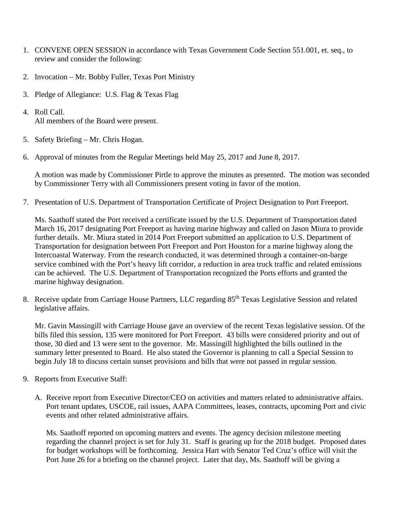- 1. CONVENE OPEN SESSION in accordance with Texas Government Code Section 551.001, et. seq., to review and consider the following:
- 2. Invocation Mr. Bobby Fuller, Texas Port Ministry
- 3. Pledge of Allegiance: U.S. Flag & Texas Flag
- 4. Roll Call. All members of the Board were present.
- 5. Safety Briefing Mr. Chris Hogan.
- 6. Approval of minutes from the Regular Meetings held May 25, 2017 and June 8, 2017.

A motion was made by Commissioner Pirtle to approve the minutes as presented. The motion was seconded by Commissioner Terry with all Commissioners present voting in favor of the motion.

7. Presentation of U.S. Department of Transportation Certificate of Project Designation to Port Freeport.

Ms. Saathoff stated the Port received a certificate issued by the U.S. Department of Transportation dated March 16, 2017 designating Port Freeport as having marine highway and called on Jason Miura to provide further details. Mr. Miura stated in 2014 Port Freeport submitted an application to U.S. Department of Transportation for designation between Port Freeport and Port Houston for a marine highway along the Intercoastal Waterway. From the research conducted, it was determined through a container-on-barge service combined with the Port's heavy lift corridor, a reduction in area truck traffic and related emissions can be achieved. The U.S. Department of Transportation recognized the Ports efforts and granted the marine highway designation.

8. Receive update from Carriage House Partners, LLC regarding 85<sup>th</sup> Texas Legislative Session and related legislative affairs.

Mr. Gavin Massingill with Carriage House gave an overview of the recent Texas legislative session. Of the bills filed this session, 135 were monitored for Port Freeport. 43 bills were considered priority and out of those, 30 died and 13 were sent to the governor. Mr. Massingill highlighted the bills outlined in the summary letter presented to Board. He also stated the Governor is planning to call a Special Session to begin July 18 to discuss certain sunset provisions and bills that were not passed in regular session.

- 9. Reports from Executive Staff:
	- A. Receive report from Executive Director/CEO on activities and matters related to administrative affairs. Port tenant updates, USCOE, rail issues, AAPA Committees, leases, contracts, upcoming Port and civic events and other related administrative affairs.

Ms. Saathoff reported on upcoming matters and events. The agency decision milestone meeting regarding the channel project is set for July 31. Staff is gearing up for the 2018 budget. Proposed dates for budget workshops will be forthcoming. Jessica Hart with Senator Ted Cruz's office will visit the Port June 26 for a briefing on the channel project. Later that day, Ms. Saathoff will be giving a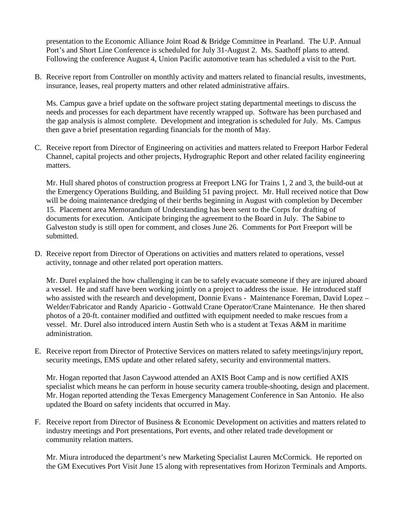presentation to the Economic Alliance Joint Road & Bridge Committee in Pearland. The U.P. Annual Port's and Short Line Conference is scheduled for July 31-August 2. Ms. Saathoff plans to attend. Following the conference August 4, Union Pacific automotive team has scheduled a visit to the Port.

B. Receive report from Controller on monthly activity and matters related to financial results, investments, insurance, leases, real property matters and other related administrative affairs.

Ms. Campus gave a brief update on the software project stating departmental meetings to discuss the needs and processes for each department have recently wrapped up. Software has been purchased and the gap analysis is almost complete. Development and integration is scheduled for July. Ms. Campus then gave a brief presentation regarding financials for the month of May.

C. Receive report from Director of Engineering on activities and matters related to Freeport Harbor Federal Channel, capital projects and other projects, Hydrographic Report and other related facility engineering matters.

Mr. Hull shared photos of construction progress at Freeport LNG for Trains 1, 2 and 3, the build-out at the Emergency Operations Building, and Building 51 paving project. Mr. Hull received notice that Dow will be doing maintenance dredging of their berths beginning in August with completion by December 15. Placement area Memorandum of Understanding has been sent to the Corps for drafting of documents for execution. Anticipate bringing the agreement to the Board in July. The Sabine to Galveston study is still open for comment, and closes June 26. Comments for Port Freeport will be submitted.

D. Receive report from Director of Operations on activities and matters related to operations, vessel activity, tonnage and other related port operation matters.

Mr. Durel explained the how challenging it can be to safely evacuate someone if they are injured aboard a vessel. He and staff have been working jointly on a project to address the issue. He introduced staff who assisted with the research and development, Donnie Evans - Maintenance Foreman, David Lopez – Welder/Fabricator and Randy Aparicio - Gottwald Crane Operator/Crane Maintenance. He then shared photos of a 20-ft. container modified and outfitted with equipment needed to make rescues from a vessel. Mr. Durel also introduced intern Austin Seth who is a student at Texas A&M in maritime administration.

E. Receive report from Director of Protective Services on matters related to safety meetings/injury report, security meetings, EMS update and other related safety, security and environmental matters.

Mr. Hogan reported that Jason Caywood attended an AXIS Boot Camp and is now certified AXIS specialist which means he can perform in house security camera trouble-shooting, design and placement. Mr. Hogan reported attending the Texas Emergency Management Conference in San Antonio. He also updated the Board on safety incidents that occurred in May.

F. Receive report from Director of Business & Economic Development on activities and matters related to industry meetings and Port presentations, Port events, and other related trade development or community relation matters.

Mr. Miura introduced the department's new Marketing Specialist Lauren McCormick. He reported on the GM Executives Port Visit June 15 along with representatives from Horizon Terminals and Amports.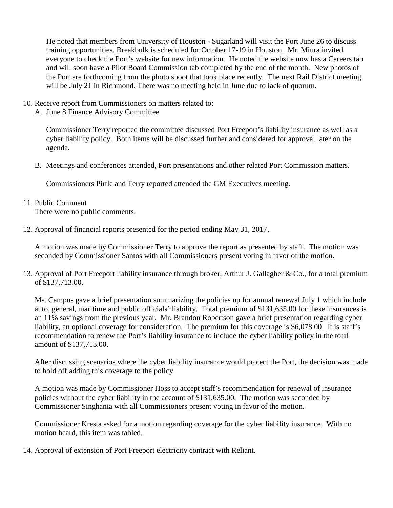He noted that members from University of Houston - Sugarland will visit the Port June 26 to discuss training opportunities. Breakbulk is scheduled for October 17-19 in Houston. Mr. Miura invited everyone to check the Port's website for new information. He noted the website now has a Careers tab and will soon have a Pilot Board Commission tab completed by the end of the month. New photos of the Port are forthcoming from the photo shoot that took place recently. The next Rail District meeting will be July 21 in Richmond. There was no meeting held in June due to lack of quorum.

- 10. Receive report from Commissioners on matters related to:
	- A. June 8 Finance Advisory Committee

Commissioner Terry reported the committee discussed Port Freeport's liability insurance as well as a cyber liability policy. Both items will be discussed further and considered for approval later on the agenda.

B. Meetings and conferences attended, Port presentations and other related Port Commission matters.

Commissioners Pirtle and Terry reported attended the GM Executives meeting.

11. Public Comment

There were no public comments.

12. Approval of financial reports presented for the period ending May 31, 2017.

A motion was made by Commissioner Terry to approve the report as presented by staff. The motion was seconded by Commissioner Santos with all Commissioners present voting in favor of the motion.

13. Approval of Port Freeport liability insurance through broker, Arthur J. Gallagher & Co., for a total premium of \$137,713.00.

Ms. Campus gave a brief presentation summarizing the policies up for annual renewal July 1 which include auto, general, maritime and public officials' liability. Total premium of \$131,635.00 for these insurances is an 11% savings from the previous year. Mr. Brandon Robertson gave a brief presentation regarding cyber liability, an optional coverage for consideration. The premium for this coverage is \$6,078.00. It is staff's recommendation to renew the Port's liability insurance to include the cyber liability policy in the total amount of \$137,713.00.

After discussing scenarios where the cyber liability insurance would protect the Port, the decision was made to hold off adding this coverage to the policy.

A motion was made by Commissioner Hoss to accept staff's recommendation for renewal of insurance policies without the cyber liability in the account of \$131,635.00. The motion was seconded by Commissioner Singhania with all Commissioners present voting in favor of the motion.

Commissioner Kresta asked for a motion regarding coverage for the cyber liability insurance. With no motion heard, this item was tabled.

14. Approval of extension of Port Freeport electricity contract with Reliant.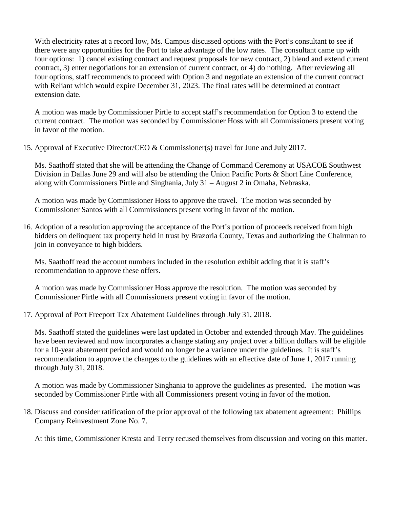With electricity rates at a record low, Ms. Campus discussed options with the Port's consultant to see if there were any opportunities for the Port to take advantage of the low rates. The consultant came up with four options: 1) cancel existing contract and request proposals for new contract, 2) blend and extend current contract, 3) enter negotiations for an extension of current contract, or 4) do nothing. After reviewing all four options, staff recommends to proceed with Option 3 and negotiate an extension of the current contract with Reliant which would expire December 31, 2023. The final rates will be determined at contract extension date.

A motion was made by Commissioner Pirtle to accept staff's recommendation for Option 3 to extend the current contract. The motion was seconded by Commissioner Hoss with all Commissioners present voting in favor of the motion.

15. Approval of Executive Director/CEO & Commissioner(s) travel for June and July 2017.

Ms. Saathoff stated that she will be attending the Change of Command Ceremony at USACOE Southwest Division in Dallas June 29 and will also be attending the Union Pacific Ports & Short Line Conference, along with Commissioners Pirtle and Singhania, July 31 – August 2 in Omaha, Nebraska.

A motion was made by Commissioner Hoss to approve the travel. The motion was seconded by Commissioner Santos with all Commissioners present voting in favor of the motion.

16. Adoption of a resolution approving the acceptance of the Port's portion of proceeds received from high bidders on delinquent tax property held in trust by Brazoria County, Texas and authorizing the Chairman to join in conveyance to high bidders.

Ms. Saathoff read the account numbers included in the resolution exhibit adding that it is staff's recommendation to approve these offers.

A motion was made by Commissioner Hoss approve the resolution. The motion was seconded by Commissioner Pirtle with all Commissioners present voting in favor of the motion.

17. Approval of Port Freeport Tax Abatement Guidelines through July 31, 2018.

Ms. Saathoff stated the guidelines were last updated in October and extended through May. The guidelines have been reviewed and now incorporates a change stating any project over a billion dollars will be eligible for a 10-year abatement period and would no longer be a variance under the guidelines. It is staff's recommendation to approve the changes to the guidelines with an effective date of June 1, 2017 running through July 31, 2018.

A motion was made by Commissioner Singhania to approve the guidelines as presented. The motion was seconded by Commissioner Pirtle with all Commissioners present voting in favor of the motion.

18. Discuss and consider ratification of the prior approval of the following tax abatement agreement: Phillips Company Reinvestment Zone No. 7.

At this time, Commissioner Kresta and Terry recused themselves from discussion and voting on this matter.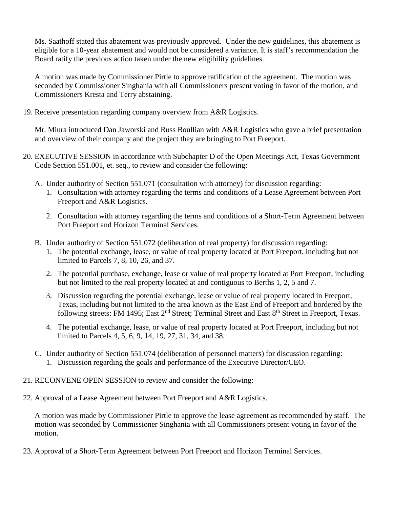Ms. Saathoff stated this abatement was previously approved. Under the new guidelines, this abatement is eligible for a 10-year abatement and would not be considered a variance. It is staff's recommendation the Board ratify the previous action taken under the new eligibility guidelines.

A motion was made by Commissioner Pirtle to approve ratification of the agreement. The motion was seconded by Commissioner Singhania with all Commissioners present voting in favor of the motion, and Commissioners Kresta and Terry abstaining.

19. Receive presentation regarding company overview from A&R Logistics.

Mr. Miura introduced Dan Jaworski and Russ Boullian with A&R Logistics who gave a brief presentation and overview of their company and the project they are bringing to Port Freeport.

- 20. EXECUTIVE SESSION in accordance with Subchapter D of the Open Meetings Act, Texas Government Code Section 551.001, et. seq., to review and consider the following:
	- A. Under authority of Section 551.071 (consultation with attorney) for discussion regarding:
		- 1. Consultation with attorney regarding the terms and conditions of a Lease Agreement between Port Freeport and A&R Logistics.
		- 2. Consultation with attorney regarding the terms and conditions of a Short-Term Agreement between Port Freeport and Horizon Terminal Services.
	- B. Under authority of Section 551.072 (deliberation of real property) for discussion regarding:
		- 1. The potential exchange, lease, or value of real property located at Port Freeport, including but not limited to Parcels 7, 8, 10, 26, and 37.
		- 2. The potential purchase, exchange, lease or value of real property located at Port Freeport, including but not limited to the real property located at and contiguous to Berths 1, 2, 5 and 7.
		- 3. Discussion regarding the potential exchange, lease or value of real property located in Freeport, Texas, including but not limited to the area known as the East End of Freeport and bordered by the following streets: FM 1495; East  $2<sup>nd</sup>$  Street; Terminal Street and East  $8<sup>th</sup>$  Street in Freeport, Texas.
		- 4. The potential exchange, lease, or value of real property located at Port Freeport, including but not limited to Parcels 4, 5, 6, 9, 14, 19, 27, 31, 34, and 38.
	- C. Under authority of Section 551.074 (deliberation of personnel matters) for discussion regarding: 1. Discussion regarding the goals and performance of the Executive Director/CEO.
- 21. RECONVENE OPEN SESSION to review and consider the following:
- 22. Approval of a Lease Agreement between Port Freeport and A&R Logistics.

A motion was made by Commissioner Pirtle to approve the lease agreement as recommended by staff. The motion was seconded by Commissioner Singhania with all Commissioners present voting in favor of the motion.

23. Approval of a Short-Term Agreement between Port Freeport and Horizon Terminal Services.